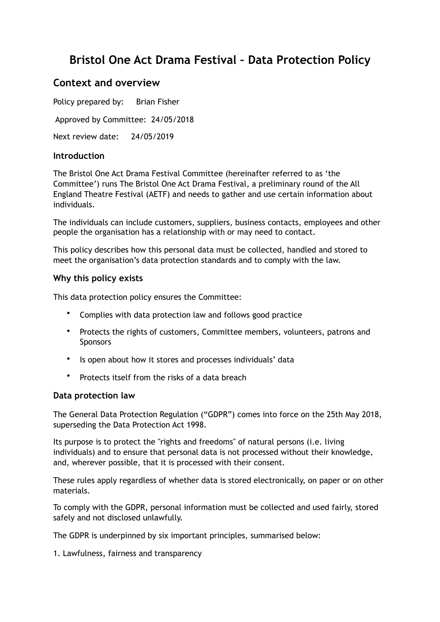# **Bristol One Act Drama Festival – Data Protection Policy**

# **Context and overview**

Policy prepared by: Brian Fisher Approved by Committee: 24/05/2018 Next review date: 24/05/2019

# **Introduction**

The Bristol One Act Drama Festival Committee (hereinafter referred to as 'the Committee') runs The Bristol One Act Drama Festival, a preliminary round of the All England Theatre Festival (AETF) and needs to gather and use certain information about individuals.

The individuals can include customers, suppliers, business contacts, employees and other people the organisation has a relationship with or may need to contact.

This policy describes how this personal data must be collected, handled and stored to meet the organisation's data protection standards and to comply with the law.

## **Why this policy exists**

This data protection policy ensures the Committee:

- Complies with data protection law and follows good practice
- Protects the rights of customers, Committee members, volunteers, patrons and Sponsors
- Is open about how it stores and processes individuals' data
- Protects itself from the risks of a data breach

#### **Data protection law**

The General Data Protection Regulation ("GDPR") comes into force on the 25th May 2018, superseding the Data Protection Act 1998.

Its purpose is to protect the "rights and freedoms" of natural persons (i.e. living individuals) and to ensure that personal data is not processed without their knowledge, and, wherever possible, that it is processed with their consent.

These rules apply regardless of whether data is stored electronically, on paper or on other materials.

To comply with the GDPR, personal information must be collected and used fairly, stored safely and not disclosed unlawfully.

The GDPR is underpinned by six important principles, summarised below:

1. Lawfulness, fairness and transparency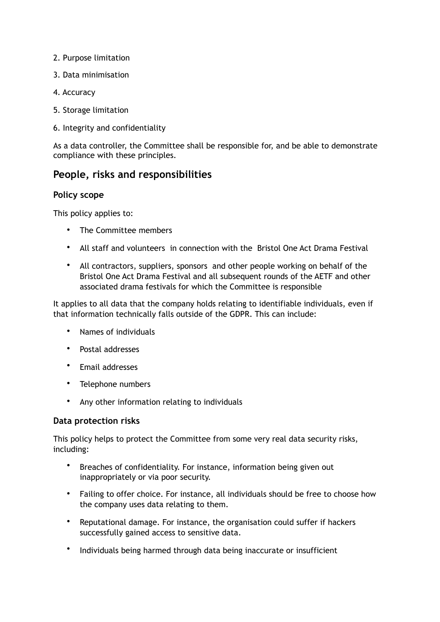- 2. Purpose limitation
- 3. Data minimisation
- 4. Accuracy
- 5. Storage limitation
- 6. Integrity and confidentiality

As a data controller, the Committee shall be responsible for, and be able to demonstrate compliance with these principles.

# **People, risks and responsibilities**

## **Policy scope**

This policy applies to:

- The Committee members
- All staff and volunteers in connection with the Bristol One Act Drama Festival
- All contractors, suppliers, sponsors and other people working on behalf of the Bristol One Act Drama Festival and all subsequent rounds of the AETF and other associated drama festivals for which the Committee is responsible

It applies to all data that the company holds relating to identifiable individuals, even if that information technically falls outside of the GDPR. This can include:

- Names of individuals
- Postal addresses
- Email addresses
- Telephone numbers
- Any other information relating to individuals

# **Data protection risks**

This policy helps to protect the Committee from some very real data security risks, including:

- Breaches of confidentiality. For instance, information being given out inappropriately or via poor security.
- Failing to offer choice. For instance, all individuals should be free to choose how the company uses data relating to them.
- Reputational damage. For instance, the organisation could suffer if hackers successfully gained access to sensitive data.
- Individuals being harmed through data being inaccurate or insufficient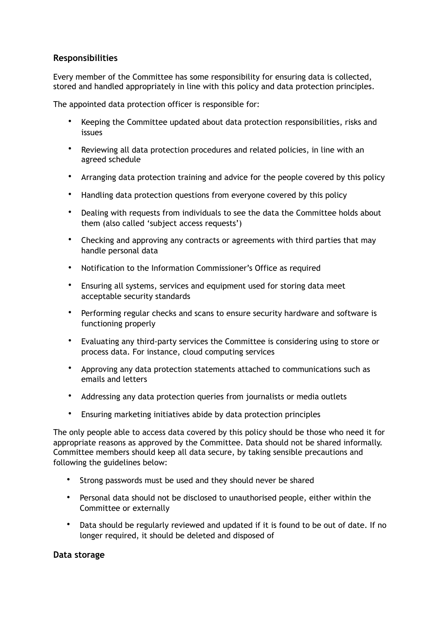# **Responsibilities**

Every member of the Committee has some responsibility for ensuring data is collected, stored and handled appropriately in line with this policy and data protection principles.

The appointed data protection officer is responsible for:

- Keeping the Committee updated about data protection responsibilities, risks and issues
- Reviewing all data protection procedures and related policies, in line with an agreed schedule
- Arranging data protection training and advice for the people covered by this policy
- Handling data protection questions from everyone covered by this policy
- Dealing with requests from individuals to see the data the Committee holds about them (also called 'subject access requests')
- Checking and approving any contracts or agreements with third parties that may handle personal data
- Notification to the Information Commissioner's Office as required
- Ensuring all systems, services and equipment used for storing data meet acceptable security standards
- Performing regular checks and scans to ensure security hardware and software is functioning properly
- Evaluating any third-party services the Committee is considering using to store or process data. For instance, cloud computing services
- Approving any data protection statements attached to communications such as emails and letters
- Addressing any data protection queries from journalists or media outlets
- Ensuring marketing initiatives abide by data protection principles

The only people able to access data covered by this policy should be those who need it for appropriate reasons as approved by the Committee. Data should not be shared informally. Committee members should keep all data secure, by taking sensible precautions and following the guidelines below:

- Strong passwords must be used and they should never be shared
- Personal data should not be disclosed to unauthorised people, either within the Committee or externally
- Data should be regularly reviewed and updated if it is found to be out of date. If no longer required, it should be deleted and disposed of

#### **Data storage**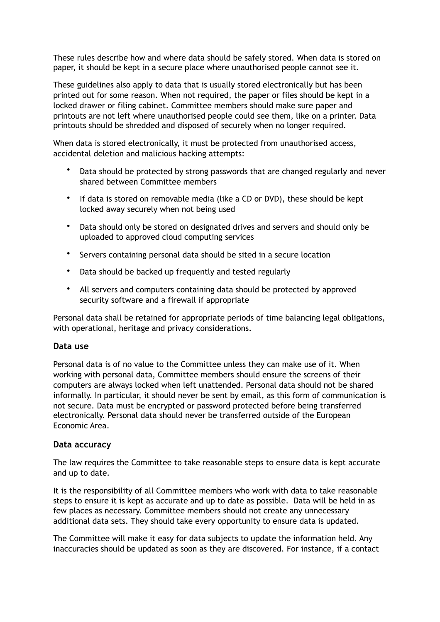These rules describe how and where data should be safely stored. When data is stored on paper, it should be kept in a secure place where unauthorised people cannot see it.

These guidelines also apply to data that is usually stored electronically but has been printed out for some reason. When not required, the paper or files should be kept in a locked drawer or filing cabinet. Committee members should make sure paper and printouts are not left where unauthorised people could see them, like on a printer. Data printouts should be shredded and disposed of securely when no longer required.

When data is stored electronically, it must be protected from unauthorised access, accidental deletion and malicious hacking attempts:

- Data should be protected by strong passwords that are changed regularly and never shared between Committee members
- If data is stored on removable media (like a CD or DVD), these should be kept locked away securely when not being used
- Data should only be stored on designated drives and servers and should only be uploaded to approved cloud computing services
- Servers containing personal data should be sited in a secure location
- Data should be backed up frequently and tested regularly
- All servers and computers containing data should be protected by approved security software and a firewall if appropriate

Personal data shall be retained for appropriate periods of time balancing legal obligations, with operational, heritage and privacy considerations.

#### **Data use**

Personal data is of no value to the Committee unless they can make use of it. When working with personal data, Committee members should ensure the screens of their computers are always locked when left unattended. Personal data should not be shared informally. In particular, it should never be sent by email, as this form of communication is not secure. Data must be encrypted or password protected before being transferred electronically. Personal data should never be transferred outside of the European Economic Area.

# **Data accuracy**

The law requires the Committee to take reasonable steps to ensure data is kept accurate and up to date.

It is the responsibility of all Committee members who work with data to take reasonable steps to ensure it is kept as accurate and up to date as possible. Data will be held in as few places as necessary. Committee members should not create any unnecessary additional data sets. They should take every opportunity to ensure data is updated.

The Committee will make it easy for data subjects to update the information held. Any inaccuracies should be updated as soon as they are discovered. For instance, if a contact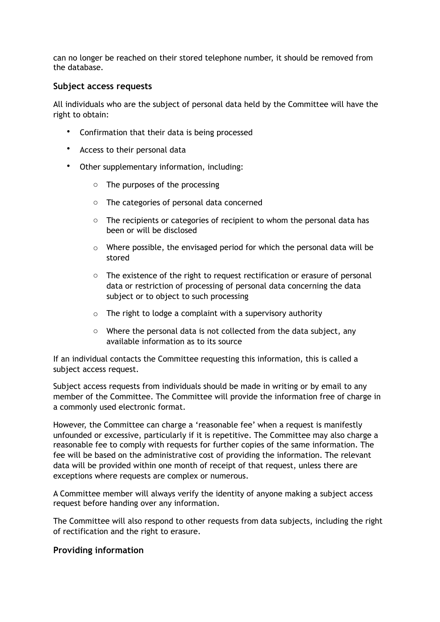can no longer be reached on their stored telephone number, it should be removed from the database.

## **Subject access requests**

All individuals who are the subject of personal data held by the Committee will have the right to obtain:

- Confirmation that their data is being processed
- Access to their personal data
- Other supplementary information, including:
	- o The purposes of the processing
	- o The categories of personal data concerned
	- o The recipients or categories of recipient to whom the personal data has been or will be disclosed
	- o Where possible, the envisaged period for which the personal data will be stored
	- $\circ$  The existence of the right to request rectification or erasure of personal data or restriction of processing of personal data concerning the data subject or to object to such processing
	- $\circ$  The right to lodge a complaint with a supervisory authority
	- o Where the personal data is not collected from the data subject, any available information as to its source

If an individual contacts the Committee requesting this information, this is called a subject access request.

Subject access requests from individuals should be made in writing or by email to any member of the Committee. The Committee will provide the information free of charge in a commonly used electronic format.

However, the Committee can charge a 'reasonable fee' when a request is manifestly unfounded or excessive, particularly if it is repetitive. The Committee may also charge a reasonable fee to comply with requests for further copies of the same information. The fee will be based on the administrative cost of providing the information. The relevant data will be provided within one month of receipt of that request, unless there are exceptions where requests are complex or numerous.

A Committee member will always verify the identity of anyone making a subject access request before handing over any information.

The Committee will also respond to other requests from data subjects, including the right of rectification and the right to erasure.

#### **Providing information**